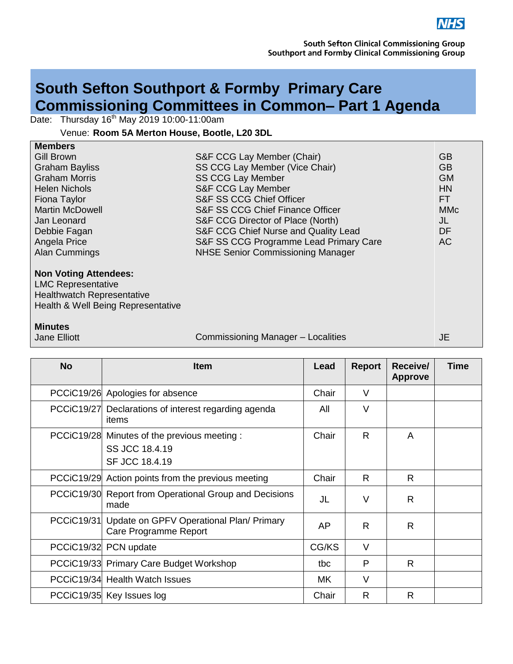

## **South Sefton Southport & Formby Primary Care Commissioning Committees in Common– Part 1 Agenda**

Date: Thursday 16<sup>th</sup> May 2019 10:00-11:00am

Venue: **Room 5A Merton House, Bootle, L20 3DL**

| <b>Members</b>         |                                          |            |
|------------------------|------------------------------------------|------------|
| <b>Gill Brown</b>      | S&F CCG Lay Member (Chair)               | GВ         |
| <b>Graham Bayliss</b>  | SS CCG Lay Member (Vice Chair)           | <b>GB</b>  |
| <b>Graham Morris</b>   | <b>SS CCG Lay Member</b>                 | <b>GM</b>  |
| <b>Helen Nichols</b>   | S&F CCG Lay Member                       | HN         |
| Fiona Taylor           | S&F SS CCG Chief Officer                 | FT.        |
| <b>Martin McDowell</b> | S&F SS CCG Chief Finance Officer         | <b>MMc</b> |
| Jan Leonard            | S&F CCG Director of Place (North)        | JL         |
| Debbie Fagan           | S&F CCG Chief Nurse and Quality Lead     | DF         |
| Angela Price           | S&F SS CCG Programme Lead Primary Care   | АC         |
| <b>Alan Cummings</b>   | <b>NHSE Senior Commissioning Manager</b> |            |
|                        |                                          |            |

## **Non Voting Attendees:**

LMC Representative Healthwatch Representative Health & Well Being Representative

## **Minutes**

Jane Elliott

Commissioning Manager – Localities

JE

| <b>No</b>         | <b>Item</b>                                                                      | Lead  | <b>Report</b> | Receive/<br><b>Approve</b> | <b>Time</b> |
|-------------------|----------------------------------------------------------------------------------|-------|---------------|----------------------------|-------------|
|                   | PCCiC19/26 Apologies for absence                                                 | Chair | $\vee$        |                            |             |
| <b>PCCiC19/27</b> | Declarations of interest regarding agenda<br>items                               | All   | V             |                            |             |
|                   | PCCiC19/28 Minutes of the previous meeting :<br>SS JCC 18.4.19<br>SF JCC 18.4.19 | Chair | R.            | A                          |             |
|                   | PCCiC19/29 Action points from the previous meeting                               | Chair | R             | R                          |             |
|                   | PCCiC19/30 Report from Operational Group and Decisions<br>made                   | JL    | $\vee$        | R                          |             |
|                   | PCCiC19/31 Update on GPFV Operational Plan/ Primary<br>Care Programme Report     | AP    | R.            | R                          |             |
| <b>PCCiC19/32</b> | PCN update                                                                       | CG/KS | $\vee$        |                            |             |
|                   | PCCiC19/33 Primary Care Budget Workshop                                          | tbc   | P             | R.                         |             |
|                   | PCCiC19/34 Health Watch Issues                                                   | МK    | $\vee$        |                            |             |
|                   | PCCiC19/35 Key Issues log                                                        | Chair | R             | R                          |             |